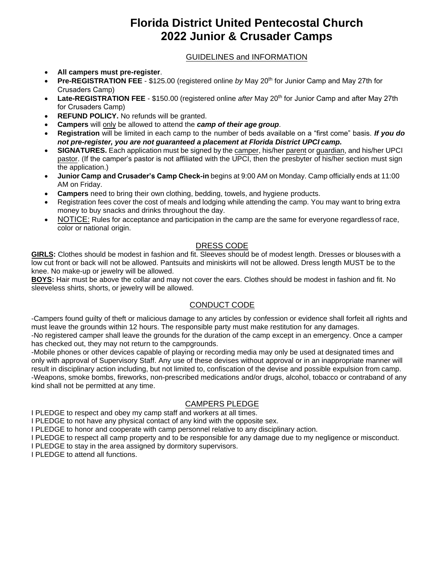## **Florida District United Pentecostal Church 2022 Junior & Crusader Camps**

#### GUIDELINES and INFORMATION

- **All campers must pre-register**.
- **Pre-REGISTRATION FEE** \$125.00 (registered online by May 20<sup>th</sup> for Junior Camp and May 27th for Crusaders Camp)
- Late-REGISTRATION FEE \$150.00 (registered online after May 20<sup>th</sup> for Junior Camp and after May 27th for Crusaders Camp)
- **REFUND POLICY.** No refunds will be granted.
- **Campers** will only be allowed to attend the *camp of their age group*.
- **Registration** will be limited in each camp to the number of beds available on a "first come" basis. *If you do not pre-register, you are not guaranteed a placement at Florida District UPCI camp.*
- **SIGNATURES.** Each application must be signed by the camper, his/her parent or guardian, and his/her UPCI pastor. (If the camper's pastor is not affiliated with the UPCI, then the presbyter of his/her section must sign the application.)
- **Junior Camp and Crusader's Camp Check-in** begins at 9:00 AM on Monday. Camp officially ends at 11:00 AM on Friday.
- **Campers** need to bring their own clothing, bedding, towels, and hygiene products.
- Registration fees cover the cost of meals and lodging while attending the camp. You may want to bring extra money to buy snacks and drinks throughout the day.
- NOTICE: Rules for acceptance and participation in the camp are the same for everyone regardless of race, color or national origin.

### DRESS CODE

**GIRLS:** Clothes should be modest in fashion and fit. Sleeves should be of modest length. Dresses or blouses with a low cut front or back will not be allowed. Pantsuits and miniskirts will not be allowed. Dress length MUST be to the knee. No make-up or jewelry will be allowed.

**BOYS:** Hair must be above the collar and may not cover the ears. Clothes should be modest in fashion and fit. No sleeveless shirts, shorts, or jewelry will be allowed.

### CONDUCT CODE

-Campers found guilty of theft or malicious damage to any articles by confession or evidence shall forfeit all rights and must leave the grounds within 12 hours. The responsible party must make restitution for any damages. -No registered camper shall leave the grounds for the duration of the camp except in an emergency. Once a camper has checked out, they may not return to the campgrounds.

-Mobile phones or other devices capable of playing or recording media may only be used at designated times and only with approval of Supervisory Staff. Any use of these devises without approval or in an inappropriate manner will result in disciplinary action including, but not limited to, confiscation of the devise and possible expulsion from camp. -Weapons, smoke bombs, fireworks, non-prescribed medications and/or drugs, alcohol, tobacco or contraband of any kind shall not be permitted at any time.

### CAMPERS PLEDGE

I PLEDGE to respect and obey my camp staff and workers at all times.

I PLEDGE to not have any physical contact of any kind with the opposite sex.

I PLEDGE to honor and cooperate with camp personnel relative to any disciplinary action.

I PLEDGE to respect all camp property and to be responsible for any damage due to my negligence or misconduct.

I PLEDGE to stay in the area assigned by dormitory supervisors.

I PLEDGE to attend all functions.